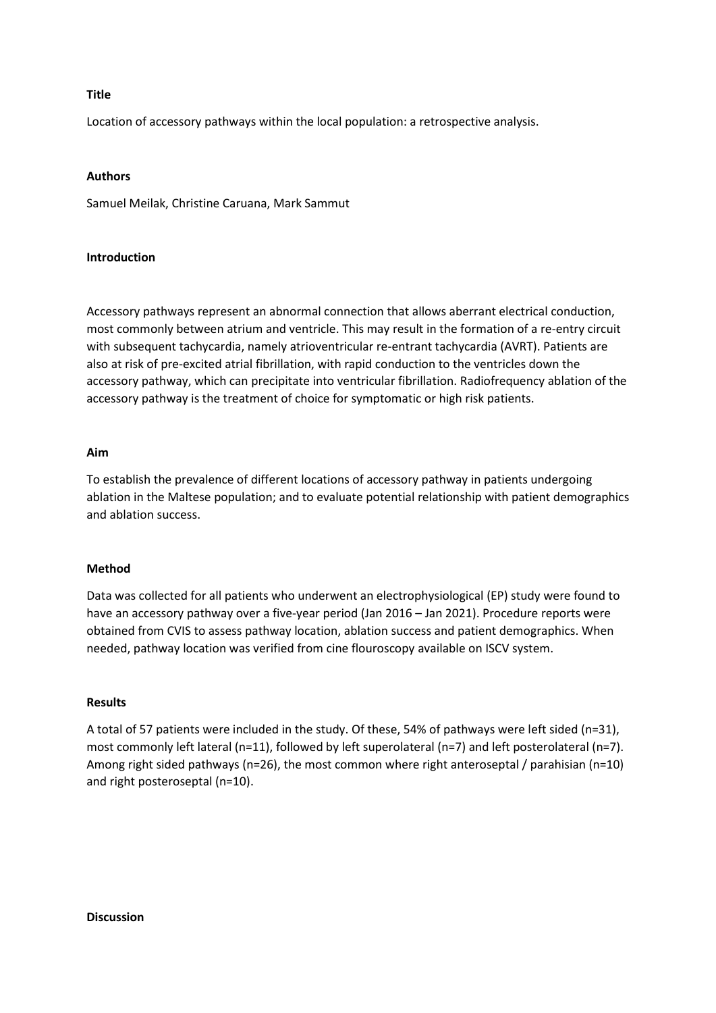#### **Title**

Location of accessory pathways within the local population: a retrospective analysis.

### **Authors**

Samuel Meilak, Christine Caruana, Mark Sammut

# **Introduction**

Accessory pathways represent an abnormal connection that allows aberrant electrical conduction, most commonly between atrium and ventricle. This may result in the formation of a re-entry circuit with subsequent tachycardia, namely atrioventricular re-entrant tachycardia (AVRT). Patients are also at risk of pre-excited atrial fibrillation, with rapid conduction to the ventricles down the accessory pathway, which can precipitate into ventricular fibrillation. Radiofrequency ablation of the accessory pathway is the treatment of choice for symptomatic or high risk patients.

# **Aim**

To establish the prevalence of different locations of accessory pathway in patients undergoing ablation in the Maltese population; and to evaluate potential relationship with patient demographics and ablation success.

### **Method**

Data was collected for all patients who underwent an electrophysiological (EP) study were found to have an accessory pathway over a five-year period (Jan 2016 – Jan 2021). Procedure reports were obtained from CVIS to assess pathway location, ablation success and patient demographics. When needed, pathway location was verified from cine flouroscopy available on ISCV system.

### **Results**

A total of 57 patients were included in the study. Of these, 54% of pathways were left sided (n=31), most commonly left lateral (n=11), followed by left superolateral (n=7) and left posterolateral (n=7). Among right sided pathways (n=26), the most common where right anteroseptal / parahisian (n=10) and right posteroseptal (n=10).

#### **Discussion**